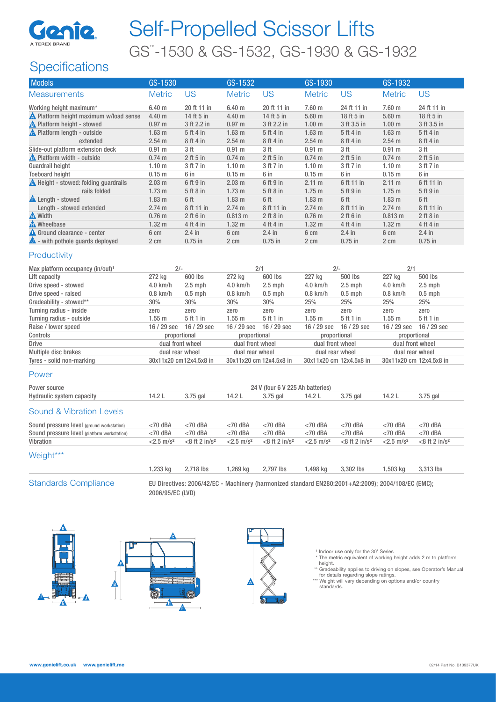

# Self-Propelled Scissor Lifts GS™ -1530 & GS-1532, GS-1930 & GS-1932

## **Specifications**

| <b>Models</b>                                 | GS-1530           |                        | GS-1532           |                                  |                   | GS-1930                 |                         | GS-1932         |  |
|-----------------------------------------------|-------------------|------------------------|-------------------|----------------------------------|-------------------|-------------------------|-------------------------|-----------------|--|
| <b>Measurements</b>                           | <b>Metric</b>     | <b>US</b>              | <b>Metric</b>     | <b>US</b>                        | <b>Metric</b>     | <b>US</b>               | <b>Metric</b>           | <b>US</b>       |  |
| Working height maximum*                       | 6.40 m            | 20 ft 11 in            | 6.40 <sub>m</sub> | 20 ft 11 in                      | 7.60 m            | 24 ft 11 in             | 7.60 m                  | 24 ft 11 in     |  |
| <b>A</b> Platform height maximum w/load sense | 4.40 m            | 14 ft 5 in             | 4.40 m            | 14 ft 5 in                       | $5.60$ m          | 18 ft 5 in              | $5.60$ m                | 18 ft 5 in      |  |
| <b>A</b> Platform height - stowed             | 0.97 <sub>m</sub> | 3 ft 2.2 in            | 0.97 m            | 3 ft 2.2 in                      | 1.00 <sub>m</sub> | 3 ft 3.5 in             | 1.00 <sub>m</sub>       | 3 ft 3.5 in     |  |
| <b>A</b> Platform length - outside            | 1.63 <sub>m</sub> | 5 ft 4 in              | $1.63$ m          | 5 ft 4 in                        | $1.63$ m          | 5 ft 4 in               | $1.63$ m                | 5 ft 4 in       |  |
| extended                                      | 2.54 m            | 8 ft 4 in              | 2.54 m            | 8 ft 4 in                        | $2.54$ m          | 8 ft 4 in               | 2.54 m                  | 8 ft 4 in       |  |
| Slide-out platform extension deck             | $0.91$ m          | 3 <sub>ft</sub>        | $0.91$ m          | 3 <sub>ft</sub>                  | $0.91$ m          | 3 <sub>ft</sub>         | $0.91$ m                | 3 <sub>ft</sub> |  |
| Platform width - outside                      | $0.74$ m          | $2$ ft 5 in            | 0.74 m            | $2$ ft $5$ in                    | $0.74$ m          | $2$ ft $5$ in           | $0.74 \text{ m}$        | $2$ ft 5 in     |  |
| Guardrail height                              | 1.10 <sub>m</sub> | 3 ft 7 in              | 1.10 <sub>m</sub> | 3 ft 7 in                        | 1.10 <sub>m</sub> | 3 ft 7 in               | 1.10 <sub>m</sub>       | 3 ft 7 in       |  |
| <b>Toeboard height</b>                        | $0.15$ m          | 6 in                   | $0.15$ m          | 6 in                             | $0.15$ m          | 6 in                    | $0.15$ m                | 6 in            |  |
| A Height - stowed: folding guardrails         | $2.03 \text{ m}$  | 6 ft 9 in              | 2.03 m            | 6 ft 9 in                        | 2.11 m            | 6 ft 11 in              | 2.11 m                  | 6 ft 11 in      |  |
| rails folded                                  | 1.73 <sub>m</sub> | 5 ft 8 in              | 1.73 <sub>m</sub> | 5 ft 8 in                        | $1.75$ m          | 5 ft 9 in               | $1.75$ m                | 5 ft 9 in       |  |
| <b>A</b> Length - stowed                      | 1.83 <sub>m</sub> | 6 ft                   | 1.83 <sub>m</sub> | 6 ft                             | 1.83 <sub>m</sub> | 6 ft                    | 1.83 <sub>m</sub>       | 6 ft            |  |
| Length - stowed extended                      | 2.74 m            | 8 ft 11 in             | 2.74 m            | 8 ft 11 in                       | 2.74 m            | 8 ft 11 in              | 2.74 m                  | 8 ft 11 in      |  |
| <b>A</b> Width                                | $0.76$ m          | 2 ft 6 in              | 0.813 m           | $2$ ft $8$ in                    | $0.76$ m          | 2 ft 6 in               | 0.813 m                 | $2$ ft $8$ in   |  |
| <b>A</b> Wheelbase                            | 1.32 <sub>m</sub> | 4 ft 4 in              | 1.32 <sub>m</sub> | 4 ft 4 in                        | $1.32 \text{ m}$  | 4 ft 4 in               | 1.32 <sub>m</sub>       | 4 ft 4 in       |  |
| Ground clearance - center                     | 6 cm              | $2.4$ in               | 6 cm              | $2.4$ in                         | 6 cm              | $2.4$ in                | 6 cm                    | $2.4$ in        |  |
| with pothole guards deployed                  | 2 cm              | $0.75$ in              | 2 cm              | $0.75$ in                        | 2 cm              | $0.75$ in               | 2 cm                    | $0.75$ in       |  |
| Productivity                                  |                   |                        |                   |                                  |                   |                         |                         |                 |  |
| Max platform occupancy (in/out) <sup>1</sup>  | $2/-$             |                        | 2/1               |                                  | $2/-$             |                         | 2/1                     |                 |  |
| Lift capacity                                 | 272 kg            | 600 lbs                | 272 kg            | 600 lbs                          | 227 kg            | 500 lbs                 | 227 kg                  | 500 lbs         |  |
| Drive speed - stowed                          | 4.0 km/h          | $2.5$ mph              | 4.0 km/h          | $2.5$ mph                        | 4.0 km/h          | $2.5$ mph               | 4.0 km/h                | $2.5$ mph       |  |
| Drive speed - raised                          | $0.8$ km/h        | $0.5$ mph              | $0.8$ km/h        | $0.5$ mph                        | $0.8$ km/h        | $0.5$ mph               | $0.8$ km/h              | $0.5$ mph       |  |
| Gradeability - stowed**                       | 30%               | 30%                    | 30%               | 30%                              | 25%               | 25%                     | 25%                     | 25%             |  |
| Turning radius - inside                       | zero              | zero                   | zero              | zero                             | zero              | zero                    | zero                    | zero            |  |
| Turning radius - outside                      | $1.55$ m          | 5 ft 1 in              | $1.55$ m          | 5 ft 1 in                        | $1.55$ m          | 5 ft 1 in               | $1.55$ m                | 5 ft 1 in       |  |
| Raise / lower speed                           | 16 / 29 sec       | 16 / 29 sec            | 16 / 29 sec       | 16 / 29 sec                      | $16/29$ sec       | 16 / 29 sec             | 16 / 29 sec             | 16 / 29 sec     |  |
| Controls                                      |                   | proportional           |                   | proportional                     |                   | proportional            |                         | proportional    |  |
| <b>Drive</b>                                  | dual front wheel  |                        | dual front wheel  |                                  | dual front wheel  |                         | dual front wheel        |                 |  |
| Multiple disc brakes                          | dual rear wheel   |                        | dual rear wheel   |                                  | dual rear wheel   |                         | dual rear wheel         |                 |  |
| Tyres - solid non-marking                     |                   | 30x11x20 cm12x4.5x8 in |                   | 30x11x20 cm 12x4.5x8 in          |                   | 30x11x20 cm 12x4.5x8 in | 30x11x20 cm 12x4.5x8 in |                 |  |
| Power                                         |                   |                        |                   |                                  |                   |                         |                         |                 |  |
| Power source                                  |                   |                        |                   | 24 V (four 6 V 225 Ah batteries) |                   |                         |                         |                 |  |
| Hydraulic system capacity                     | 14.2L             | 3.75 gal               | 14.2L             | 3.75 gal                         | 14.2 L            | 3.75 gal                | 14.2L                   | 3.75 gal        |  |
| <b>Sound &amp; Vibration Levels</b>           |                   |                        |                   |                                  |                   |                         |                         |                 |  |

| Sound pressure level (ground workstation)   | <70 dBA                  | $<$ 70 dBA                  | $<$ 70 dBA               | $<$ 70 dBA                   | $<$ 70 dBA               | $<$ 70 dBA                   | $<$ 70 dBA               | <70 dBA                      |
|---------------------------------------------|--------------------------|-----------------------------|--------------------------|------------------------------|--------------------------|------------------------------|--------------------------|------------------------------|
| Sound pressure level (platform workstation) | <70 dBA                  | $<$ 70 dBA                  | $<$ 70 dBA               | $<$ 70 dBA                   | $<$ 70 dBA               | $<$ 70 dBA                   | $<$ 70 dBA               | <70 dBA                      |
| Vibration                                   | $< 2.5$ m/s <sup>2</sup> | $<8$ ft 2 in/s <sup>2</sup> | $< 2.5$ m/s <sup>2</sup> | $<$ 8 ft 2 in/s <sup>2</sup> | $< 2.5$ m/s <sup>2</sup> | $<$ 8 ft 2 in/s <sup>2</sup> | $<$ 2.5 m/s <sup>2</sup> | $<$ 8 ft 2 in/s <sup>2</sup> |
| Weight***                                   |                          |                             |                          |                              |                          |                              |                          |                              |

1,233 kg 2,718 lbs 1,269 kg 2,797 lbs 1,498 kg 3,302 lbs 1,503 kg 3,313 lbs

Standards Compliance EU Directives: 2006/42/EC - Machinery (harmonized standard EN280:2001+A2:2009); 2004/108/EC (EMC); 2006/95/EC (LVD)







<sup>1</sup> Indoor use only for the 30' Series

 \* The metric equivalent of working height adds 2 m to platform height.

\*\* Gradeability applies to driving on slopes, see Operator's Manual for details regarding slope ratings. \*\*\* Weight will vary depending on options and/or country

standards.